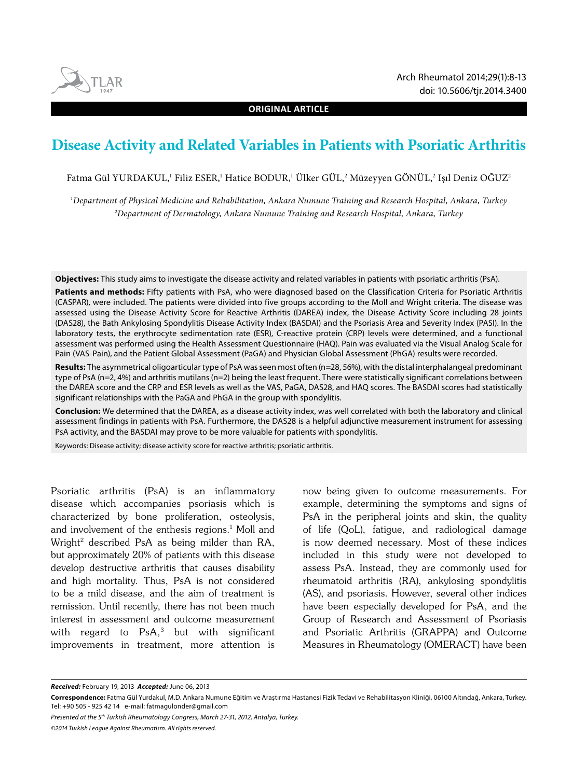**ORIGINAL ARTICLE**

# **Disease Activity and Related Variables in Patients with Psoriatic Arthritis**

Fatma Gül YURDAKUL,<sup>1</sup> Filiz ESER,<sup>1</sup> Hatice BODUR,<sup>1</sup> Ülker GÜL,<sup>2</sup> Müzeyyen GÖNÜL,<sup>2</sup> Işıl Deniz OGUZ<sup>2</sup>

*1 Department of Physical Medicine and Rehabilitation, Ankara Numune Training and Research Hospital, Ankara, Turkey 2 Department of Dermatology, Ankara Numune Training and Research Hospital, Ankara, Turkey*

**Objectives:** This study aims to investigate the disease activity and related variables in patients with psoriatic arthritis (PsA).

**Patients and methods:** Fifty patients with PsA, who were diagnosed based on the Classification Criteria for Psoriatic Arthritis (CASPAR), were included. The patients were divided into five groups according to the Moll and Wright criteria. The disease was assessed using the Disease Activity Score for Reactive Arthritis (DAREA) index, the Disease Activity Score including 28 joints (DAS28), the Bath Ankylosing Spondylitis Disease Activity Index (BASDAI) and the Psoriasis Area and Severity Index (PASI). In the laboratory tests, the erythrocyte sedimentation rate (ESR), C-reactive protein (CRP) levels were determined, and a functional assessment was performed using the Health Assessment Questionnaire (HAQ). Pain was evaluated via the Visual Analog Scale for Pain (VAS-Pain), and the Patient Global Assessment (PaGA) and Physician Global Assessment (PhGA) results were recorded.

Results: The asymmetrical oligoarticular type of PsA was seen most often (n=28, 56%), with the distal interphalangeal predominant type of PsA (n=2, 4%) and arthritis mutilans (n=2) being the least frequent. There were statistically significant correlations between the DAREA score and the CRP and ESR levels as well as the VAS, PaGA, DAS28, and HAQ scores. The BASDAI scores had statistically significant relationships with the PaGA and PhGA in the group with spondylitis.

**Conclusion:** We determined that the DAREA, as a disease activity index, was well correlated with both the laboratory and clinical assessment findings in patients with PsA. Furthermore, the DAS28 is a helpful adjunctive measurement instrument for assessing PsA activity, and the BASDAI may prove to be more valuable for patients with spondylitis.

Keywords: Disease activity; disease activity score for reactive arthritis; psoriatic arthritis.

Psoriatic arthritis (PsA) is an inflammatory disease which accompanies psoriasis which is characterized by bone proliferation, osteolysis, and involvement of the enthesis regions. $^1$  Moll and Wright2 described PsA as being milder than RA, but approximately 20% of patients with this disease develop destructive arthritis that causes disability and high mortality. Thus, PsA is not considered to be a mild disease, and the aim of treatment is remission. Until recently, there has not been much interest in assessment and outcome measurement with regard to  $PsA$ ,<sup>3</sup> but with significant improvements in treatment, more attention is

now being given to outcome measurements. For example, determining the symptoms and signs of PsA in the peripheral joints and skin, the quality of life (QoL), fatigue, and radiological damage is now deemed necessary. Most of these indices included in this study were not developed to assess PsA. Instead, they are commonly used for rheumatoid arthritis (RA), ankylosing spondylitis (AS), and psoriasis. However, several other indices have been especially developed for PsA, and the Group of Research and Assessment of Psoriasis and Psoriatic Arthritis (GRAPPA) and Outcome Measures in Rheumatology (OMERACT) have been

*Received:* February 19, 2013 *Accepted:* June 06, 2013

*Presented at the 5th Turkish Rheumatology Congress, March 27-31, 2012, Antalya, Turkey.*

*©2014 Turkish League Against Rheumatism. All rights reserved.*



**Correspondence:** Fatma Gül Yurdakul, M.D. Ankara Numune Eğitim ve Araştırma Hastanesi Fizik Tedavi ve Rehabilitasyon Kliniği, 06100 Altındağ, Ankara, Turkey. Tel: +90 505 - 925 42 14 e-mail: fatmagulonder@gmail.com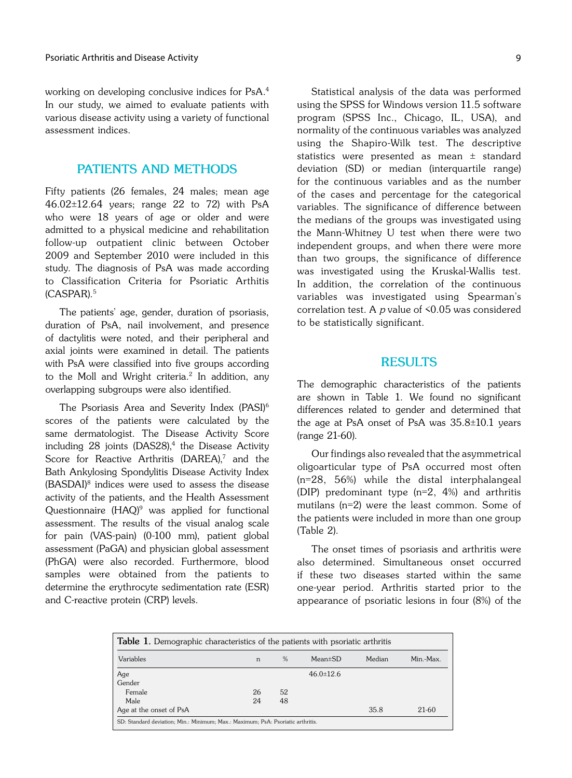working on developing conclusive indices for PsA.4 In our study, we aimed to evaluate patients with various disease activity using a variety of functional assessment indices.

#### **PATIENTS AND METHODS**

Fifty patients (26 females, 24 males; mean age 46.02±12.64 years; range 22 to 72) with PsA who were 18 years of age or older and were admitted to a physical medicine and rehabilitation follow-up outpatient clinic between October 2009 and September 2010 were included in this study. The diagnosis of PsA was made according to Classification Criteria for Psoriatic Arthitis (CASPAR).5

The patients' age, gender, duration of psoriasis, duration of PsA, nail involvement, and presence of dactylitis were noted, and their peripheral and axial joints were examined in detail. The patients with PsA were classified into five groups according to the Moll and Wright criteria.<sup>2</sup> In addition, any overlapping subgroups were also identified.

The Psoriasis Area and Severity Index (PASI)<sup>6</sup> scores of the patients were calculated by the same dermatologist. The Disease Activity Score including 28 joints (DAS28),<sup>4</sup> the Disease Activity Score for Reactive Arthritis (DAREA),<sup>7</sup> and the Bath Ankylosing Spondylitis Disease Activity Index (BASDAI)8 indices were used to assess the disease activity of the patients, and the Health Assessment Questionnaire (HAQ)<sup>9</sup> was applied for functional assessment. The results of the visual analog scale for pain (VAS-pain) (0-100 mm), patient global assessment (PaGA) and physician global assessment (PhGA) were also recorded. Furthermore, blood samples were obtained from the patients to determine the erythrocyte sedimentation rate (ESR) and C-reactive protein (CRP) levels.

Statistical analysis of the data was performed using the SPSS for Windows version 11.5 software program (SPSS Inc., Chicago, IL, USA), and normality of the continuous variables was analyzed using the Shapiro-Wilk test. The descriptive statistics were presented as mean ± standard deviation (SD) or median (interquartile range) for the continuous variables and as the number

**RESULTS**

to be statistically significant.

of the cases and percentage for the categorical variables. The significance of difference between the medians of the groups was investigated using the Mann-Whitney U test when there were two independent groups, and when there were more than two groups, the significance of difference was investigated using the Kruskal-Wallis test. In addition, the correlation of the continuous variables was investigated using Spearman's correlation test. A  $p$  value of  $\leq 0.05$  was considered

The demographic characteristics of the patients are shown in Table 1. We found no significant differences related to gender and determined that the age at PsA onset of PsA was  $35.8\pm10.1$  years (range 21-60).

Our findings also revealed that the asymmetrical oligoarticular type of PsA occurred most often (n=28, 56%) while the distal interphalangeal (DIP) predominant type (n=2, 4%) and arthritis mutilans (n=2) were the least common. Some of the patients were included in more than one group (Table 2).

The onset times of psoriasis and arthritis were also determined. Simultaneous onset occurred if these two diseases started within the same one-year period. Arthritis started prior to the appearance of psoriatic lesions in four (8%) of the

| <b>Table 1.</b> Demographic characteristics of the patients with psoriatic arthritis |    |               |                 |        |           |
|--------------------------------------------------------------------------------------|----|---------------|-----------------|--------|-----------|
| Variables                                                                            | n  | $\frac{0}{0}$ | $Mean \pm SD$   | Median | Min.-Max. |
| Age                                                                                  |    |               | $46.0 \pm 12.6$ |        |           |
| Gender                                                                               |    |               |                 |        |           |
| Female                                                                               | 26 | 52            |                 |        |           |
| Male                                                                                 | 24 | 48            |                 |        |           |
| Age at the onset of PsA                                                              |    |               |                 | 35.8   | 21-60     |
| SD: Standard deviation; Min.: Minimum; Max.: Maximum; PsA: Psoriatic arthritis.      |    |               |                 |        |           |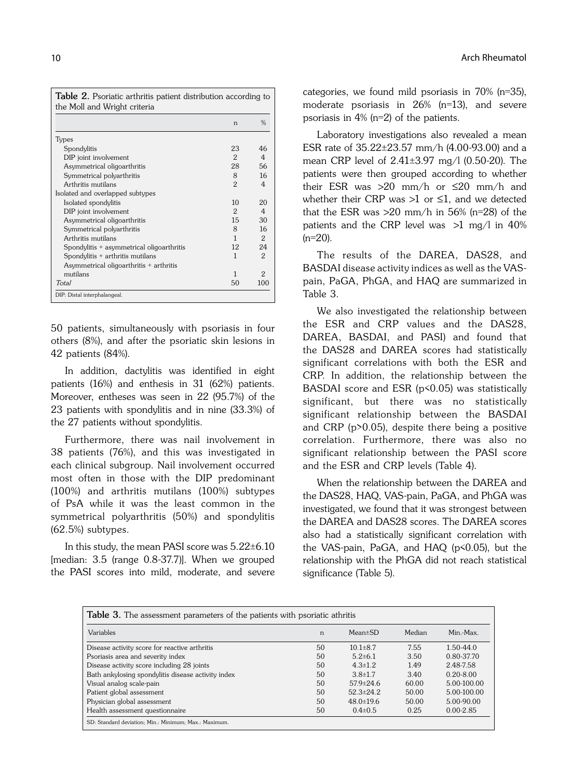**Table 2.** Psoriatic arthritis patient distribution according to the Moll and Wright criteria

|                                           | n             | $\frac{0}{6}$ |
|-------------------------------------------|---------------|---------------|
| <b>Types</b>                              |               |               |
| Spondylitis                               | 23            | 46            |
| DIP joint involvement                     | $\mathcal{P}$ | 4             |
| Asymmetrical oligoarthritis               | 28            | 56            |
| Symmetrical polyarthritis                 | 8             | 16            |
| Arthritis mutilans                        | $\mathcal{P}$ | 4             |
| Isolated and overlapped subtypes          |               |               |
| Isolated spondylitis                      | 10            | 20            |
| DIP joint involvement                     | 2             | 4             |
| Asymmetrical oligoarthritis               | 15            | 30            |
| Symmetrical polyarthritis                 | 8             | 16            |
| Arthritis mutilans                        | 1             | $\mathcal{P}$ |
| Spondylitis + asymmetrical oligoarthritis | 12            | 24            |
| Spondylitis + arthritis mutilans          | 1             | 2             |
| Asymmetrical oligoarthritis + arthritis   |               |               |
| mutilans                                  | 1             | 2             |
| Total                                     | 50            | 100           |

50 patients, simultaneously with psoriasis in four others (8%), and after the psoriatic skin lesions in 42 patients (84%).

In addition, dactylitis was identified in eight patients (16%) and enthesis in 31 (62%) patients. Moreover, entheses was seen in 22 (95.7%) of the 23 patients with spondylitis and in nine (33.3%) of the 27 patients without spondylitis.

Furthermore, there was nail involvement in 38 patients (76%), and this was investigated in each clinical subgroup. Nail involvement occurred most often in those with the DIP predominant (100%) and arthritis mutilans (100%) subtypes of PsA while it was the least common in the symmetrical polyarthritis (50%) and spondylitis (62.5%) subtypes.

In this study, the mean PASI score was 5.22±6.10 [median: 3.5 (range 0.8-37.7)]. When we grouped the PASI scores into mild, moderate, and severe categories, we found mild psoriasis in 70% (n=35), moderate psoriasis in 26% (n=13), and severe psoriasis in 4% (n=2) of the patients.

Laboratory investigations also revealed a mean ESR rate of 35.22±23.57 mm/h (4.00-93.00) and a mean CRP level of 2.41±3.97 mg/l (0.50-20). The patients were then grouped according to whether their ESR was  $>20$  mm/h or  $\leq 20$  mm/h and whether their CRP was  $>1$  or  $\leq 1$ , and we detected that the ESR was  $>20$  mm/h in 56% (n=28) of the patients and the CRP level was  $>1$  mg/l in 40%  $(n=20)$ .

The results of the DAREA, DAS28, and BASDAI disease activity indices as well as the VASpain, PaGA, PhGA, and HAQ are summarized in Table 3.

We also investigated the relationship between the ESR and CRP values and the DAS28, DAREA, BASDAI, and PASI) and found that the DAS28 and DAREA scores had statistically significant correlations with both the ESR and CRP. In addition, the relationship between the BASDAI score and ESR ( $p$ <0.05) was statistically significant, but there was no statistically significant relationship between the BASDAI and CRP (p>0.05), despite there being a positive correlation. Furthermore, there was also no significant relationship between the PASI score and the ESR and CRP levels (Table 4).

When the relationship between the DAREA and the DAS28, HAQ, VAS-pain, PaGA, and PhGA was investigated, we found that it was strongest between the DAREA and DAS28 scores. The DAREA scores also had a statistically significant correlation with the VAS-pain, PaGA, and HAQ (p<0.05), but the relationship with the PhGA did not reach statistical significance (Table 5).

| <b>Table 3.</b> The assessment parameters of the patients with psoriatic athritis |              |                 |        |               |  |  |
|-----------------------------------------------------------------------------------|--------------|-----------------|--------|---------------|--|--|
| Variables                                                                         | n            | $Mean \pm SD$   | Median | Min.-Max.     |  |  |
| Disease activity score for reactive arthritis                                     | 50           | $10.1 \pm 8.7$  | 7.55   | $1.50 - 44.0$ |  |  |
| Psoriasis area and severity index                                                 | 50           | $5.2{\pm}6.1$   | 3.50   | 0.80-37.70    |  |  |
| Disease activity score including 28 joints                                        | 50           | $4.3 \pm 1.2$   | 1.49   | 2.48-7.58     |  |  |
| Bath ankylosing spondylitis disease activity index                                | $50^{\circ}$ | $3.8 \pm 1.7$   | 3.40   | $0.20 - 8.00$ |  |  |
| Visual analog scale-pain                                                          | 50           | $57.9 \pm 24.6$ | 60.00  | 5.00-100.00   |  |  |
| Patient global assessment                                                         | 50           | $52.3+24.2$     | 50.00  | 5.00-100.00   |  |  |
| Physician global assessment                                                       | 50           | $48.0 \pm 19.6$ | 50.00  | 5.00-90.00    |  |  |
| Health assessment questionnaire                                                   | 50           | $0.4 \pm 0.5$   | 0.25   | $0.00 - 2.85$ |  |  |
| SD: Standard deviation; Min.: Minimum; Max.: Maximum.                             |              |                 |        |               |  |  |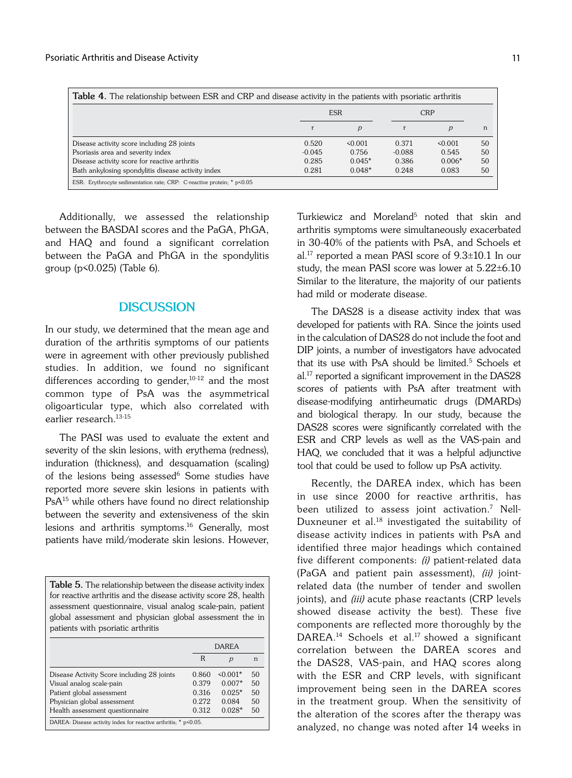| <b>Table 4.</b> The relationship between ESR and CRP and disease activity in the patients with psoriatic arthritis |          |               |          |               |    |
|--------------------------------------------------------------------------------------------------------------------|----------|---------------|----------|---------------|----|
|                                                                                                                    |          | <b>ESR</b>    |          | <b>CRP</b>    |    |
|                                                                                                                    |          | $\mathcal{D}$ |          | $\mathcal{D}$ | n  |
| Disease activity score including 28 joints                                                                         | 0.520    | $\leq 0.001$  | 0.371    | $\leq 0.001$  | 50 |
| Psoriasis area and severity index                                                                                  | $-0.045$ | 0.756         | $-0.088$ | 0.545         | 50 |
| Disease activity score for reactive arthritis                                                                      | 0.285    | $0.045*$      | 0.386    | $0.006*$      | 50 |
| Bath ankylosing spondylitis disease activity index                                                                 | 0.281    | $0.048*$      | 0.248    | 0.083         | 50 |
| ESR: Erythrocyte sedimentation rate; CRP: C-reactive protein; * p<0.05                                             |          |               |          |               |    |

Additionally, we assessed the relationship between the BASDAI scores and the PaGA, PhGA, and HAQ and found a significant correlation between the PaGA and PhGA in the spondylitis group (p<0.025) (Table 6).

## **DISCUSSION**

In our study, we determined that the mean age and duration of the arthritis symptoms of our patients were in agreement with other previously published studies. In addition, we found no significant differences according to gender, $10-12$  and the most common type of PsA was the asymmetrical oligoarticular type, which also correlated with earlier research.13-15

The PASI was used to evaluate the extent and severity of the skin lesions, with erythema (redness), induration (thickness), and desquamation (scaling) of the lesions being assessed<sup>6</sup> Some studies have reported more severe skin lesions in patients with PsA<sup>15</sup> while others have found no direct relationship between the severity and extensiveness of the skin lesions and arthritis symptoms.<sup>16</sup> Generally, most patients have mild/moderate skin lesions. However,

**Table 5.** The relationship between the disease activity index for reactive arthritis and the disease activity score 28, health assessment questionnaire, visual analog scale-pain, patient global assessment and physician global assessment the in patients with psoriatic arthritis

|                                                                 |       | DAREA          |    |  |
|-----------------------------------------------------------------|-------|----------------|----|--|
|                                                                 | R     | $\overline{p}$ | n  |  |
| Disease Activity Score including 28 joints                      | 0.860 | $\leq 0.001*$  | 50 |  |
| Visual analog scale-pain                                        | 0.379 | $0.007*$       | 50 |  |
| Patient global assessment                                       | 0.316 | $0.025*$       | 50 |  |
| Physician global assessment                                     | 0.272 | 0.084          | 50 |  |
| Health assessment questionnaire                                 | 0.312 | $0.028*$       | 50 |  |
| DAREA: Disease activity index for reactive arthritis; * p<0.05. |       |                |    |  |

Turkiewicz and Moreland<sup>5</sup> noted that skin and arthritis symptoms were simultaneously exacerbated in 30-40% of the patients with PsA, and Schoels et al.<sup>17</sup> reported a mean PASI score of  $9.3\pm10.1$  In our study, the mean PASI score was lower at 5.22±6.10 Similar to the literature, the majority of our patients had mild or moderate disease.

The DAS28 is a disease activity index that was developed for patients with RA. Since the joints used in the calculation of DAS28 do not include the foot and DIP joints, a number of investigators have advocated that its use with PsA should be limited.5 Schoels et al.<sup>17</sup> reported a significant improvement in the DAS28 scores of patients with PsA after treatment with disease-modifying antirheumatic drugs (DMARDs) and biological therapy. In our study, because the DAS28 scores were significantly correlated with the ESR and CRP levels as well as the VAS-pain and HAQ, we concluded that it was a helpful adjunctive tool that could be used to follow up PsA activity.

Recently, the DAREA index, which has been in use since 2000 for reactive arthritis, has been utilized to assess joint activation. $^7$  Nell-Duxneuner et al. $18$  investigated the suitability of disease activity indices in patients with PsA and identified three major headings which contained five different components: (i) patient-related data (PaGA and patient pain assessment), (ii) jointrelated data (the number of tender and swollen joints), and *(iii)* acute phase reactants (CRP levels showed disease activity the best). These five components are reflected more thoroughly by the DAREA.<sup>14</sup> Schoels et al.<sup>17</sup> showed a significant correlation between the DAREA scores and the DAS28, VAS-pain, and HAQ scores along with the ESR and CRP levels, with significant improvement being seen in the DAREA scores in the treatment group. When the sensitivity of the alteration of the scores after the therapy was analyzed, no change was noted after 14 weeks in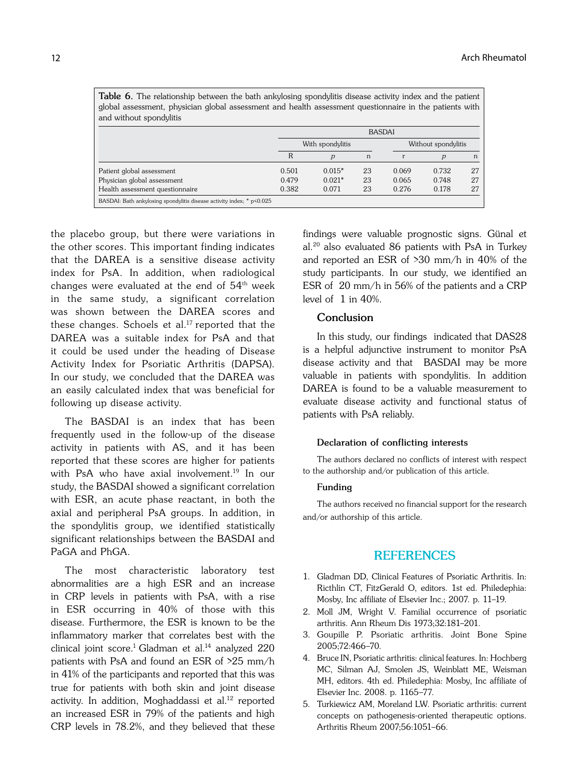|                                                                       | <b>BASDAI</b>    |                |    |                     |       |    |  |
|-----------------------------------------------------------------------|------------------|----------------|----|---------------------|-------|----|--|
|                                                                       | With spondylitis |                |    | Without spondylitis |       |    |  |
|                                                                       | R                | $\overline{p}$ | n  |                     | р     | n  |  |
| Patient global assessment                                             | 0.501            | $0.015*$       | 23 | 0.069               | 0.732 | 27 |  |
| Physician global assessment                                           | 0.479            | $0.021*$       | 23 | 0.065               | 0.748 | 27 |  |
| Health assessment questionnaire                                       | 0.382            | 0.071          | 23 | 0.276               | 0.178 | 27 |  |
| BASDAI: Bath ankylosing spondylitis disease activity index; * p<0.025 |                  |                |    |                     |       |    |  |

Table 6. The relationship between the bath ankylosing spondylitis disease activity index and the patient global assessment, physician global assessment and health assessment questionnaire in the patients with

the placebo group, but there were variations in the other scores. This important finding indicates that the DAREA is a sensitive disease activity index for PsA. In addition, when radiological changes were evaluated at the end of  $54<sup>th</sup>$  week in the same study, a significant correlation was shown between the DAREA scores and these changes. Schoels et al.<sup>17</sup> reported that the DAREA was a suitable index for PsA and that it could be used under the heading of Disease Activity Index for Psoriatic Arthritis (DAPSA). In our study, we concluded that the DAREA was an easily calculated index that was beneficial for following up disease activity.

The BASDAI is an index that has been frequently used in the follow-up of the disease activity in patients with AS, and it has been reported that these scores are higher for patients with PsA who have axial involvement.<sup>19</sup> In our study, the BASDAI showed a significant correlation with ESR, an acute phase reactant, in both the axial and peripheral PsA groups. In addition, in the spondylitis group, we identified statistically significant relationships between the BASDAI and PaGA and PhGA.

The most characteristic laboratory test abnormalities are a high ESR and an increase in CRP levels in patients with PsA, with a rise in ESR occurring in 40% of those with this disease. Furthermore, the ESR is known to be the inflammatory marker that correlates best with the clinical joint score.<sup>1</sup> Gladman et al.<sup>14</sup> analyzed 220 patients with PsA and found an ESR of >25 mm/h in 41% of the participants and reported that this was true for patients with both skin and joint disease activity. In addition, Moghaddassi et al.<sup>12</sup> reported an increased ESR in 79% of the patients and high CRP levels in 78.2%, and they believed that these findings were valuable prognostic signs. Günal et al.20 also evaluated 86 patients with PsA in Turkey and reported an ESR of >30 mm/h in 40% of the study participants. In our study, we identified an ESR of ≥20 mm/h in 56% of the patients and a CRP level of  $1$  in  $40%$ 

#### **Conclusion**

In this study, our findings indicated that DAS28 is a helpful adjunctive instrument to monitor PsA disease activity and that BASDAI may be more valuable in patients with spondylitis. In addition DAREA is found to be a valuable measurement to evaluate disease activity and functional status of patients with PsA reliably.

#### **Declaration of conflicting interests**

The authors declared no conflicts of interest with respect to the authorship and/or publication of this article.

#### **Funding**

The authors received no financial support for the research and/or authorship of this article.

### **REFERENCES**

- 1. Gladman DD, Clinical Features of Psoriatic Arthritis. In: Ricthlin CT, FitzGerald O, editors. 1st ed. Philedephia: Mosby, Inc affiliate of Elsevier Inc.; 2007. p. 11–19.
- 2. Moll JM, Wright V. Familial occurrence of psoriatic arthritis. Ann Rheum Dis 1973;32:181–201.
- 3. Goupille P. Psoriatic arthritis. Joint Bone Spine 2005;72:466–70.
- 4. Bruce IN, Psoriatic arthritis: clinical features. In: Hochberg MC, Silman AJ, Smolen JS, Weinblatt ME, Weisman MH, editors. 4th ed. Philedephia: Mosby, Inc affiliate of Elsevier Inc. 2008. p. 1165–77.
- 5. Turkiewicz AM, Moreland LW. Psoriatic arthritis: current concepts on pathogenesis-oriented therapeutic options. Arthritis Rheum 2007;56:1051–66.